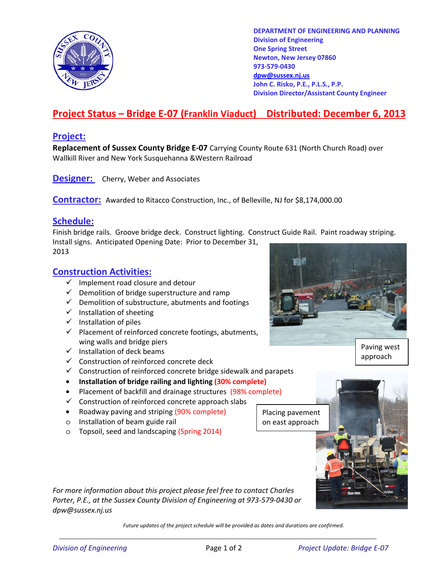

**DEPARTMENT OF ENGINEERING AND PLANNING Division of Engineering One Spring Street Newton, New Jersey 07860 973-579-0430 dpw@sussex.nj.us John C. Risko, P.E., P.L.S., P.P. Division Director/Assistant County Engineer** 

## **Project Status – Bridge E-07 (Franklin Viaduct) Distributed: December 6, 2013**

### **Project:**

**Replacement of Sussex County Bridge E-07** Carrying County Route 631 (North Church Road) over Wallkill River and New York Susquehanna &Western Railroad

**Designer:** Cherry, Weber and Associates

**Contractor:** Awarded to Ritacco Construction, Inc., of Belleville, NJ for \$8,174,000.00

### **Schedule:**

Finish bridge rails. Groove bridge deck. Construct lighting. Construct Guide Rail. Paint roadway striping. Install signs. Anticipated Opening Date: Prior to December 31, 2013

### **Construction Activities:**

- $\checkmark$  Implement road closure and detour
- $\checkmark$  Demolition of bridge superstructure and ramp
- $\checkmark$  Demolition of substructure, abutments and footings
- $\checkmark$  Installation of sheeting
- $\checkmark$  Installation of piles
- $\checkmark$  Placement of reinforced concrete footings, abutments, wing walls and bridge piers **Paving west**
- $\checkmark$  Installation of deck beams
- $\checkmark$  Construction of reinforced concrete deck
- $\checkmark$  Construction of reinforced concrete bridge sidewalk and parapets
- **Installation of bridge railing and lighting (30% complete)**
- Placement of backfill and drainage structures (98% complete)
- $\checkmark$  Construction of reinforced concrete approach slabs
- Roadway paving and striping (90% complete)
- o Installation of beam guide rail
- o Topsoil, seed and landscaping (Spring 2014)

Placing pavement on east approach



*For more information about this project please feel free to contact Charles Porter, P.E., at the Sussex County Division of Engineering at 973-579-0430 or dpw@sussex.nj.us* 

*Future updates of the project schedule will be provided as dates and durations are confirmed.* 



approach